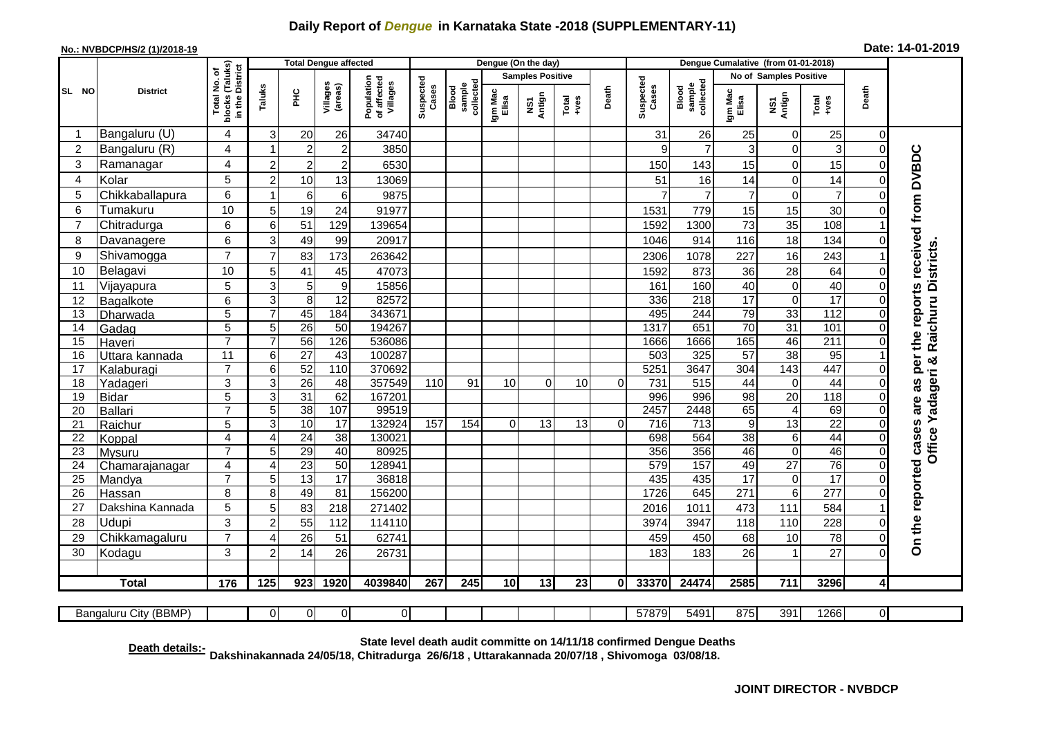## **Daily Report of** *Dengue* **in Karnataka State -2018 (SUPPLEMENTARY-11)**

## **No.: NVBDCP/HS/2 (1)/2018-19 Date: 14-01-2019**

|                |                          |                                                 |                |                 | <b>Total Dengue affected</b> |                                       |                    |                              |                         | Dengue (On the day) |               |          |                    |                              |                        |                   |                        |                      |                                        |
|----------------|--------------------------|-------------------------------------------------|----------------|-----------------|------------------------------|---------------------------------------|--------------------|------------------------------|-------------------------|---------------------|---------------|----------|--------------------|------------------------------|------------------------|-------------------|------------------------|----------------------|----------------------------------------|
|                |                          | ৳                                               |                |                 |                              | Population<br>of affected<br>Villages |                    | collected<br>sample<br>Blood | <b>Samples Positive</b> |                     |               |          |                    |                              | No of Samples Positive |                   |                        |                      |                                        |
| SL NO          | <b>District</b>          | blocks (Taluks)<br>in the District<br>Total No. | Taluks         | 옾               | Villages<br>(areas)          |                                       | Suspected<br>Cases |                              | Igm Mac<br>Elisa        | NS1<br>Antign       | Total<br>+ves | Death    | Suspected<br>Cases | Blood<br>sample<br>collected | Igm Mac<br>Elisa       | NS1<br>Antign     | Death<br>Total<br>+ves |                      |                                        |
| -1             | Bangaluru (U)            | 4                                               | 3              | 20              | 26                           | 34740                                 |                    |                              |                         |                     |               |          | 31                 | 26                           | 25                     | $\mathbf 0$       | 25                     | $\overline{0}$       |                                        |
| $\overline{2}$ | Bangaluru (R)            | 4                                               | -1             | $\overline{c}$  | $\overline{2}$               | 3850                                  |                    |                              |                         |                     |               |          | 9                  | $\overline{7}$               | 3                      | $\Omega$          | 3                      | $\Omega$             |                                        |
| 3              | Ramanagar                | 4                                               | $\overline{2}$ | $\overline{2}$  | $\overline{c}$               | 6530                                  |                    |                              |                         |                     |               |          | 150                | 143                          | 15                     | $\mathbf 0$       | 15                     |                      | as per the reports received from DVBDC |
| 4              | Kolar                    | 5                                               | $\overline{c}$ | 10              | 13                           | 13069                                 |                    |                              |                         |                     |               |          | 51                 | 16                           | 14                     | $\mathbf 0$       | 14                     |                      |                                        |
| 5              | Chikkaballapura          | 6                                               | 1              | 6               | 6                            | 9875                                  |                    |                              |                         |                     |               |          | $\overline{7}$     | $\overline{7}$               | $\overline{7}$         | $\mathbf 0$       | $\overline{7}$         |                      |                                        |
| 6              | Tumakuru                 | 10                                              | 5              | 19              | 24                           | 91977                                 |                    |                              |                         |                     |               |          | 1531               | 779                          | 15                     | 15                | 30                     |                      |                                        |
|                | Chitradurga              | 6                                               | 6              | 51              | 129                          | 139654                                |                    |                              |                         |                     |               |          | 1592               | 1300                         | 73                     | 35                | 108                    |                      |                                        |
| 8              | Davanagere               | 6                                               | 3              | 49              | 99                           | 20917                                 |                    |                              |                         |                     |               |          | 1046               | 914                          | 116                    | 18                | 134                    |                      |                                        |
| 9              | Shivamogga               | $\overline{7}$                                  | $\overline{7}$ | 83              | 173                          | 263642                                |                    |                              |                         |                     |               |          | 2306               | 1078                         | 227                    | 16                | 243                    |                      | Office Yadageri & Raichuru Districts   |
| 10             | Belagavi                 | 10                                              | 5              | 41              | 45                           | 47073                                 |                    |                              |                         |                     |               |          | 1592               | 873                          | 36                     | 28                | 64                     |                      |                                        |
| 11             | Vijayapura               | 5                                               | 3              | 5               | $\boldsymbol{9}$             | 15856                                 |                    |                              |                         |                     |               |          | 161                | 160                          | 40                     | $\mathbf 0$       | 40                     |                      |                                        |
| 12             | Bagalkote                | 6                                               | 3              | 8               | $\overline{12}$              | 82572                                 |                    |                              |                         |                     |               |          | 336                | 218                          | $\overline{17}$        | $\mathbf 0$       | $\overline{17}$        |                      |                                        |
| 13             | Dharwada                 | 5                                               |                | 45              | 184                          | 343671                                |                    |                              |                         |                     |               |          | 495                | 244                          | 79                     | 33                | 112                    |                      |                                        |
| 14             | Gadag                    | $\overline{5}$                                  | 5              | $\overline{26}$ | 50                           | 194267                                |                    |                              |                         |                     |               |          | 1317               | 651                          | $\overline{70}$        | 31                | 101                    |                      |                                        |
| 15             | Haveri                   | $\overline{7}$                                  | $\overline{7}$ | 56              | 126                          | 536086                                |                    |                              |                         |                     |               |          | 1666               | 1666                         | 165                    | 46                | 211                    |                      |                                        |
| 16             | Uttara kannada           | 11                                              | 6              | 27              | 43                           | 100287                                |                    |                              |                         |                     |               |          | 503                | 325                          | $\overline{57}$        | $\overline{38}$   | 95                     |                      |                                        |
| 17             | Kalaburagi               | $\overline{7}$                                  | 6              | $\overline{52}$ | 110                          | 370692                                |                    |                              |                         |                     |               |          | 525'               | 3647                         | 304                    | 143               | 447                    |                      |                                        |
| 18             | Yadageri                 | 3                                               | 3              | $\overline{26}$ | 48                           | 357549                                | 110                | 91                           | 10                      | $\Omega$            | 10            | $\Omega$ | 731                | 515                          | 44                     | $\mathbf 0$       | 44                     |                      |                                        |
| 19             | Bidar                    | 5                                               | 3              | 31              | 62                           | 167201                                |                    |                              |                         |                     |               |          | 996                | 996                          | $\overline{98}$        | 20                | 118                    |                      | are                                    |
| 20             | Ballari                  | $\overline{7}$                                  | 5              | 38              | 107                          | 99519                                 |                    |                              |                         |                     |               |          | 2457               | 2448                         | 65                     | $\overline{4}$    | 69                     |                      |                                        |
| 21             | Raichur                  | $\overline{5}$                                  | 3              | $\overline{10}$ | 17                           | 132924                                | 157                | 154                          | $\Omega$                | 13                  | 13            | $\Omega$ | 716                | $\frac{1}{713}$              | $\overline{9}$         | 13                | $\overline{22}$        | $\Omega$             |                                        |
| 22             | Koppal                   | $\overline{4}$<br>$\overline{7}$                | $\overline{4}$ | $\overline{24}$ | $\overline{38}$<br>40        | 130021<br>80925                       |                    |                              |                         |                     |               |          | 698                | 564<br>356                   | 38                     | $6\phantom{1}6$   | 44<br>46               | $\Omega$<br>$\Omega$ |                                        |
| 23<br>24       | Mysuru                   | 4                                               | 5<br>4         | 29<br>23        | 50                           | 128941                                |                    |                              |                         |                     |               |          | 356<br>579         | 157                          | 46<br>49               | $\mathbf 0$<br>27 | 76                     | $\Omega$             |                                        |
| 25             | Chamarajanagar<br>Mandya | $\overline{7}$                                  | 5              | 13              | $\overline{17}$              | 36818                                 |                    |                              |                         |                     |               |          | 435                | 435                          | 17                     | $\mathbf 0$       | $\overline{17}$        | $\Omega$             |                                        |
| 26             | Hassan                   | 8                                               | 8              | 49              | 81                           | 156200                                |                    |                              |                         |                     |               |          | 1726               | 645                          | 271                    | $\overline{6}$    | $\overline{277}$       | $\Omega$             |                                        |
| 27             | Dakshina Kannada         | 5                                               | 5              | 83              | 218                          | 271402                                |                    |                              |                         |                     |               |          | 2016               | 1011                         | 473                    | 111               | 584                    |                      |                                        |
| 28             | <b>Udupi</b>             | 3                                               | $\overline{2}$ | 55              | 112                          | 114110                                |                    |                              |                         |                     |               |          | 3974               | 3947                         | 118                    | 110               | 228                    |                      |                                        |
| 29             | Chikkamagaluru           | $\overline{7}$                                  | Δ              | 26              | 51                           | 62741                                 |                    |                              |                         |                     |               |          | 459                | 450                          | 68                     | 10                | 78                     | $\Omega$             | On the reported cases                  |
| 30             | Kodagu                   | 3                                               | $\overline{2}$ | 14              | 26                           | 26731                                 |                    |                              |                         |                     |               |          | 183                | 183                          | 26                     |                   | 27                     | $\Omega$             |                                        |
|                |                          |                                                 |                |                 |                              |                                       |                    |                              |                         |                     |               |          |                    |                              |                        |                   |                        |                      |                                        |
|                | <b>Total</b>             | $\frac{1}{176}$                                 | 125            | 923             | 1920                         | 4039840                               | 267                | 245                          | $\overline{10}$         | 13                  | 23            | $\bf{0}$ | 33370              | 24474                        | 2585                   | 711               | 3296                   | $\overline{4}$       |                                        |
|                |                          |                                                 |                |                 |                              |                                       |                    |                              |                         |                     |               |          |                    |                              |                        |                   |                        |                      |                                        |
|                | Bangaluru City (BBMP)    |                                                 | 01             | $\Omega$        | $\overline{0}$               | $\overline{O}$                        |                    |                              |                         |                     |               |          | 57879              | 5491                         | 875                    | 391               | 1266                   | $\overline{0}$       |                                        |

**Death details:- State level death audit committe on 14/11/18 confirmed Dengue Deaths Dakshinakannada 24/05/18, Chitradurga 26/6/18 , Uttarakannada 20/07/18 , Shivomoga 03/08/18.**